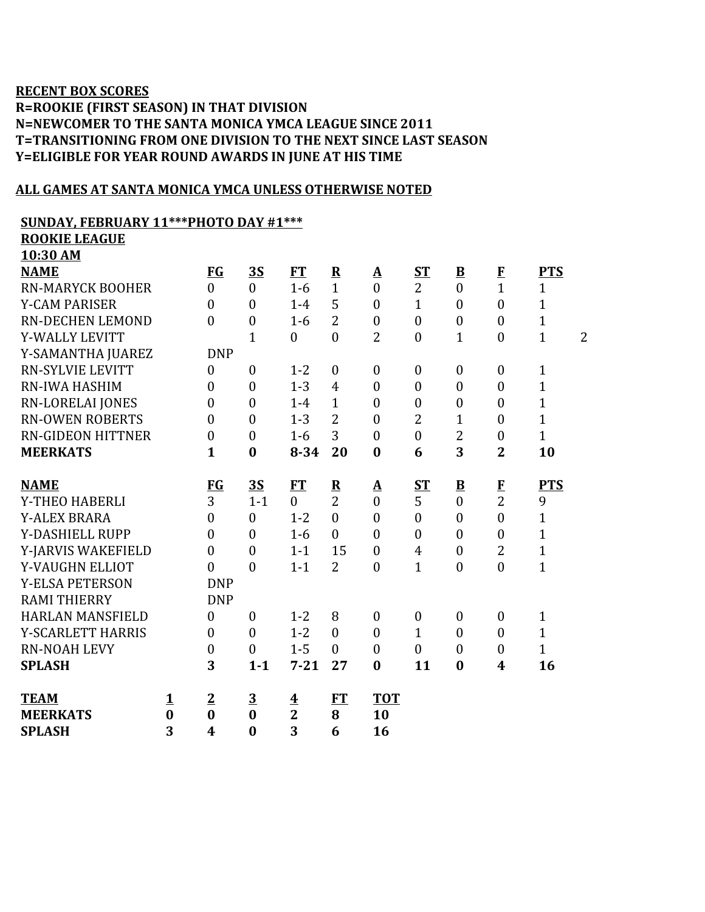## **RECENT BOX SCORES R=ROOKIE (FIRST SEASON) IN THAT DIVISION N=NEWCOMER TO THE SANTA MONICA YMCA LEAGUE SINCE 2011 T=TRANSITIONING FROM ONE DIVISION TO THE NEXT SINCE LAST SEASON Y=ELIGIBLE FOR YEAR ROUND AWARDS IN JUNE AT HIS TIME**

#### **ALL GAMES AT SANTA MONICA YMCA UNLESS OTHERWISE NOTED**

## **SUNDAY, FEBRUARY 11\*\*\*PHOTO DAY #1\*\*\***

| <b>ROOKIE LEAGUE</b>     |          |                  |                  |                         |                         |                  |                  |                          |                  |                                |
|--------------------------|----------|------------------|------------------|-------------------------|-------------------------|------------------|------------------|--------------------------|------------------|--------------------------------|
| 10:30 AM                 |          |                  |                  |                         |                         |                  |                  |                          |                  |                                |
| <b>NAME</b>              |          | FG               | 3S               | <b>FT</b>               | $\overline{\mathbf{R}}$ | $\Delta$         | <u>ST</u>        | $\underline{\mathbf{B}}$ | $\mathbf{F}$     | <b>PTS</b>                     |
| <b>RN-MARYCK BOOHER</b>  |          | $\overline{0}$   | $\overline{0}$   | $1-6$                   | $\mathbf{1}$            | $\mathbf{0}$     | $\overline{2}$   | $\overline{0}$           | $\mathbf{1}$     | $\mathbf{1}$                   |
| <b>Y-CAM PARISER</b>     |          | $\mathbf{0}$     | $\boldsymbol{0}$ | $1-4$                   | 5                       | $\boldsymbol{0}$ | $\mathbf{1}$     | $\boldsymbol{0}$         | $\boldsymbol{0}$ | $\mathbf{1}$                   |
| <b>RN-DECHEN LEMOND</b>  |          | $\theta$         | $\boldsymbol{0}$ | $1-6$                   | $\overline{2}$          | $\boldsymbol{0}$ | $\boldsymbol{0}$ | $\boldsymbol{0}$         | $\overline{0}$   | $\mathbf{1}$                   |
| Y-WALLY LEVITT           |          |                  | $\mathbf{1}$     | $\boldsymbol{0}$        | $\overline{0}$          | $\overline{2}$   | $\boldsymbol{0}$ | $\mathbf{1}$             | $\overline{0}$   | $\overline{2}$<br>$\mathbf{1}$ |
| Y-SAMANTHA JUAREZ        |          | <b>DNP</b>       |                  |                         |                         |                  |                  |                          |                  |                                |
| <b>RN-SYLVIE LEVITT</b>  |          | $\theta$         | $\boldsymbol{0}$ | $1 - 2$                 | $\mathbf{0}$            | $\mathbf{0}$     | $\boldsymbol{0}$ | $\mathbf{0}$             | $\boldsymbol{0}$ | $\mathbf{1}$                   |
| RN-IWA HASHIM            |          | $\overline{0}$   | $\boldsymbol{0}$ | $1 - 3$                 | $\overline{4}$          | $\boldsymbol{0}$ | $\boldsymbol{0}$ | $\boldsymbol{0}$         | $\boldsymbol{0}$ | $\mathbf{1}$                   |
| RN-LORELAI JONES         |          | $\overline{0}$   | $\boldsymbol{0}$ | $1-4$                   | $\mathbf{1}$            | $\mathbf{0}$     | $\boldsymbol{0}$ | $\boldsymbol{0}$         | $\boldsymbol{0}$ | $\mathbf{1}$                   |
| <b>RN-OWEN ROBERTS</b>   |          | $\overline{0}$   | $\mathbf{0}$     | $1 - 3$                 | $\overline{2}$          | $\boldsymbol{0}$ | 2                | $\mathbf{1}$             | $\boldsymbol{0}$ | $\mathbf{1}$                   |
| <b>RN-GIDEON HITTNER</b> |          | $\overline{0}$   | $\mathbf{0}$     | $1-6$                   | 3                       | $\mathbf{0}$     | $\boldsymbol{0}$ | $\overline{2}$           | $\theta$         | $\mathbf{1}$                   |
| <b>MEERKATS</b>          |          | $\mathbf{1}$     | $\bf{0}$         | $8 - 34$                | 20                      | $\bf{0}$         | 6                | 3                        | $\overline{2}$   | 10                             |
|                          |          |                  |                  |                         |                         |                  |                  |                          |                  |                                |
| <b>NAME</b>              |          | $FG$             | 35               | FT                      | $\overline{\mathbf{R}}$ | <u>A</u>         | $S_{\rm T}$      | $\underline{\mathbf{B}}$ | $\bf{F}$         | <b>PTS</b>                     |
| Y-THEO HABERLI           |          | 3                | $1 - 1$          | $\boldsymbol{0}$        | $\overline{2}$          | $\boldsymbol{0}$ | 5                | $\boldsymbol{0}$         | $\overline{2}$   | 9                              |
| <b>Y-ALEX BRARA</b>      |          | $\theta$         | $\mathbf{0}$     | $1 - 2$                 | $\theta$                | $\mathbf{0}$     | $\boldsymbol{0}$ | $\overline{0}$           | $\overline{0}$   | $\mathbf{1}$                   |
| Y-DASHIELL RUPP          |          | $\overline{0}$   | $\mathbf{0}$     | $1-6$                   | $\theta$                | $\mathbf{0}$     | $\boldsymbol{0}$ | $\overline{0}$           | $\boldsymbol{0}$ | $\mathbf{1}$                   |
| Y-JARVIS WAKEFIELD       |          | $\overline{0}$   | $\boldsymbol{0}$ | $1 - 1$                 | 15                      | $\boldsymbol{0}$ | $\overline{4}$   | $\overline{0}$           | $\overline{2}$   | $\mathbf{1}$                   |
| Y-VAUGHN ELLIOT          |          | $\theta$         | $\boldsymbol{0}$ | $1 - 1$                 | $\overline{2}$          | $\mathbf{0}$     | $\mathbf{1}$     | $\boldsymbol{0}$         | $\boldsymbol{0}$ | $\mathbf{1}$                   |
| <b>Y-ELSA PETERSON</b>   |          | <b>DNP</b>       |                  |                         |                         |                  |                  |                          |                  |                                |
| <b>RAMI THIERRY</b>      |          | <b>DNP</b>       |                  |                         |                         |                  |                  |                          |                  |                                |
| <b>HARLAN MANSFIELD</b>  |          | $\boldsymbol{0}$ | $\boldsymbol{0}$ | $1 - 2$                 | 8                       | $\boldsymbol{0}$ | $\boldsymbol{0}$ | $\boldsymbol{0}$         | $\boldsymbol{0}$ | $\mathbf{1}$                   |
| Y-SCARLETT HARRIS        |          | $\boldsymbol{0}$ | $\mathbf{0}$     | $1 - 2$                 | $\overline{0}$          | $\mathbf{0}$     | $\mathbf{1}$     | $\mathbf{0}$             | $\theta$         | $\mathbf{1}$                   |
| <b>RN-NOAH LEVY</b>      |          | $\boldsymbol{0}$ | $\mathbf{0}$     | $1 - 5$                 | $\theta$                | $\mathbf{0}$     | $\boldsymbol{0}$ | $\overline{0}$           | $\boldsymbol{0}$ | $\mathbf{1}$                   |
| <b>SPLASH</b>            |          | 3                | $1 - 1$          | $7 - 21$                | 27                      | $\bf{0}$         | 11               | $\bf{0}$                 | 4                | 16                             |
| <b>TEAM</b>              | <u>1</u> | $\overline{2}$   | $\overline{3}$   | $\overline{\mathbf{4}}$ | <b>FT</b>               | <b>TOT</b>       |                  |                          |                  |                                |
| <b>MEERKATS</b>          | $\bf{0}$ | $\bf{0}$         | $\bf{0}$         | $\overline{2}$          | 8                       | 10               |                  |                          |                  |                                |
| <b>SPLASH</b>            | 3        | $\boldsymbol{4}$ | $\bf{0}$         | 3                       | 6                       | 16               |                  |                          |                  |                                |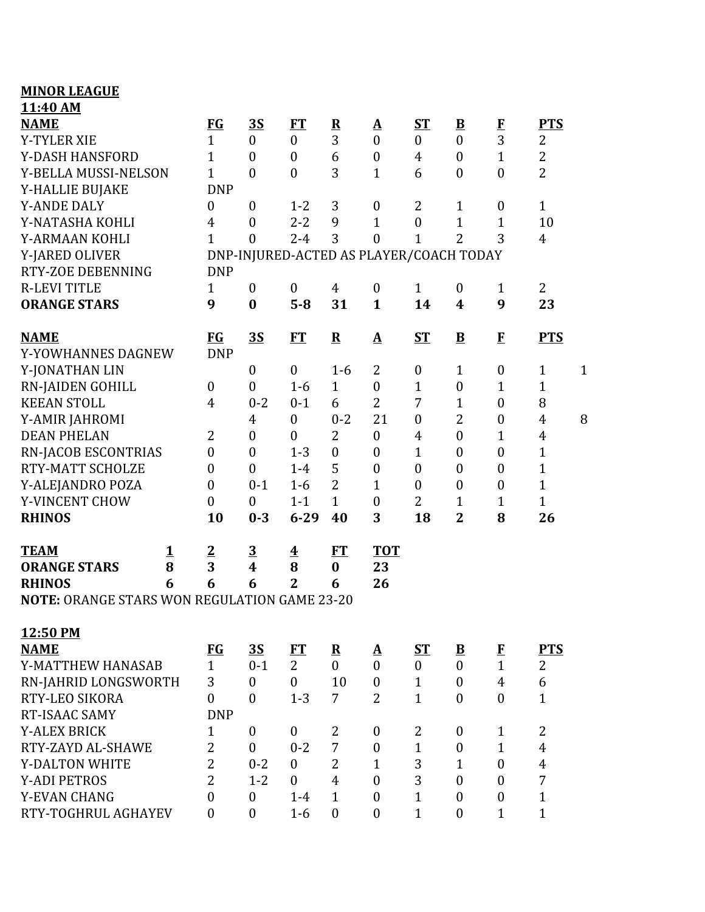| <b>MINOR LEAGUE</b>                          |          |                         |                         |                                         |                |                  |                  |                          |                  |                |              |
|----------------------------------------------|----------|-------------------------|-------------------------|-----------------------------------------|----------------|------------------|------------------|--------------------------|------------------|----------------|--------------|
| 11:40 AM                                     |          |                         |                         |                                         |                |                  |                  |                          |                  |                |              |
| <b>NAME</b>                                  |          | $FG$                    | <u>35</u>               | <u>FT</u>                               | ${\bf R}$      | <u>A</u>         | ST               | $\underline{\mathbf{B}}$ | $\bf{F}$         | <b>PTS</b>     |              |
| <b>Y-TYLER XIE</b>                           |          | $\mathbf{1}$            | $\mathbf{0}$            | $\boldsymbol{0}$                        | 3              | $\mathbf{0}$     | $\boldsymbol{0}$ | $\mathbf{0}$             | $\overline{3}$   | 2              |              |
| Y-DASH HANSFORD                              |          | $\mathbf{1}$            | $\boldsymbol{0}$        | $\boldsymbol{0}$                        | 6              | $\boldsymbol{0}$ | $\overline{4}$   | $\boldsymbol{0}$         | $\mathbf{1}$     | $\overline{2}$ |              |
| Y-BELLA MUSSI-NELSON                         |          | $\mathbf{1}$            | $\overline{0}$          | $\overline{0}$                          | 3              | $\mathbf{1}$     | 6                | $\mathbf{0}$             | $\boldsymbol{0}$ | $\overline{2}$ |              |
| Y-HALLIE BUJAKE                              |          | <b>DNP</b>              |                         |                                         |                |                  |                  |                          |                  |                |              |
| <b>Y-ANDE DALY</b>                           |          | $\overline{0}$          | $\boldsymbol{0}$        | $1 - 2$                                 | 3              | $\boldsymbol{0}$ | $\overline{2}$   | $\mathbf{1}$             | $\boldsymbol{0}$ | $\mathbf{1}$   |              |
| Y-NATASHA KOHLI                              |          | $\overline{4}$          | $\boldsymbol{0}$        | $2 - 2$                                 | 9              | $\mathbf{1}$     | $\boldsymbol{0}$ | $\mathbf{1}$             | $\mathbf{1}$     | 10             |              |
| Y-ARMAAN KOHLI                               |          | $\mathbf{1}$            | $\overline{0}$          | $2 - 4$                                 | 3              | $\overline{0}$   | $\mathbf{1}$     | $\overline{2}$           | 3                | $\overline{4}$ |              |
| Y-JARED OLIVER                               |          |                         |                         | DNP-INJURED-ACTED AS PLAYER/COACH TODAY |                |                  |                  |                          |                  |                |              |
| RTY-ZOE DEBENNING                            |          | <b>DNP</b>              |                         |                                         |                |                  |                  |                          |                  |                |              |
| <b>R-LEVI TITLE</b>                          |          | $\mathbf{1}$            | $\boldsymbol{0}$        | $\boldsymbol{0}$                        | $\overline{4}$ | $\boldsymbol{0}$ | $\mathbf{1}$     | $\boldsymbol{0}$         | $\mathbf{1}$     | $\overline{2}$ |              |
| <b>ORANGE STARS</b>                          |          | 9                       | $\bf{0}$                | $5 - 8$                                 | 31             | $\mathbf{1}$     | 14               | 4                        | 9                | 23             |              |
| <b>NAME</b>                                  |          | $FG$                    | <u>35</u>               | FT                                      | ${\bf R}$      | $\mathbf A$      | $S_{\rm T}$      | $\mathbf{B}$             | F                | <b>PTS</b>     |              |
| Y-YOWHANNES DAGNEW                           |          | <b>DNP</b>              |                         |                                         |                |                  |                  |                          |                  |                |              |
| Y-JONATHAN LIN                               |          |                         | $\boldsymbol{0}$        | $\boldsymbol{0}$                        | $1 - 6$        | 2                | $\boldsymbol{0}$ | $\mathbf{1}$             | $\boldsymbol{0}$ | $\mathbf{1}$   | $\mathbf{1}$ |
| <b>RN-JAIDEN GOHILL</b>                      |          | $\boldsymbol{0}$        | $\boldsymbol{0}$        | $1-6$                                   | $\mathbf{1}$   | $\boldsymbol{0}$ | $\mathbf{1}$     | $\boldsymbol{0}$         | 1                | $\mathbf{1}$   |              |
| <b>KEEAN STOLL</b>                           |          | $\overline{4}$          | $0 - 2$                 | $0 - 1$                                 | 6              | $\overline{2}$   | 7                | $\mathbf{1}$             | $\boldsymbol{0}$ | 8              |              |
| Y-AMIR JAHROMI                               |          |                         | $\overline{4}$          | $\boldsymbol{0}$                        | $0 - 2$        | 21               | $\boldsymbol{0}$ | $\overline{2}$           | $\boldsymbol{0}$ | $\overline{4}$ | 8            |
| <b>DEAN PHELAN</b>                           |          | 2                       | $\boldsymbol{0}$        | $\boldsymbol{0}$                        | $\overline{2}$ | $\mathbf{0}$     | $\overline{4}$   | $\overline{0}$           | $\mathbf{1}$     | $\overline{4}$ |              |
| RN-JACOB ESCONTRIAS                          |          | $\boldsymbol{0}$        | $\boldsymbol{0}$        | $1 - 3$                                 | $\overline{0}$ | $\boldsymbol{0}$ | $\mathbf{1}$     | $\overline{0}$           | $\boldsymbol{0}$ | $\mathbf{1}$   |              |
| RTY-MATT SCHOLZE                             |          | $\overline{0}$          | $\boldsymbol{0}$        | $1-4$                                   | 5              | $\boldsymbol{0}$ | $\boldsymbol{0}$ | $\boldsymbol{0}$         | $\boldsymbol{0}$ | $\mathbf{1}$   |              |
| Y-ALEJANDRO POZA                             |          | $\boldsymbol{0}$        | $0 - 1$                 | $1 - 6$                                 | $\overline{2}$ | $\mathbf{1}$     | $\boldsymbol{0}$ | $\boldsymbol{0}$         | $\boldsymbol{0}$ | $\mathbf{1}$   |              |
| Y-VINCENT CHOW                               |          | $\overline{0}$          | $\mathbf{0}$            | $1 - 1$                                 | $\mathbf{1}$   | $\boldsymbol{0}$ | $\overline{2}$   | $\mathbf{1}$             | $\mathbf{1}$     | $\mathbf{1}$   |              |
| <b>RHINOS</b>                                |          | 10                      | $0 - 3$                 | $6 - 29$                                | 40             | 3                | 18               | $\overline{2}$           | 8                | 26             |              |
| <b>TEAM</b>                                  | <u>1</u> | $\overline{2}$          | $\overline{3}$          | $\overline{\textbf{1}}$                 | ET             | <b>TOT</b>       |                  |                          |                  |                |              |
| <b>ORANGE STARS</b>                          | 8        | $\overline{\mathbf{3}}$ | $\overline{\mathbf{4}}$ | 8                                       | $\bf{0}$       | 23               |                  |                          |                  |                |              |
| <b>RHINOS</b>                                | 6        | 6                       | 6                       | $\mathbf{2}$                            | 6              | 26               |                  |                          |                  |                |              |
| NOTE: ORANGE STARS WON REGULATION GAME 23-20 |          |                         |                         |                                         |                |                  |                  |                          |                  |                |              |
| 12:50 PM                                     |          |                         |                         |                                         |                |                  |                  |                          |                  |                |              |
| <b>NAME</b>                                  |          | E                       | $\overline{35}$         | ET                                      | ${\bf R}$      | <u>A</u>         | <u>ST</u>        | $\overline{\mathbf{B}}$  | $\bf{F}$         | <b>PTS</b>     |              |
| Y-MATTHEW HANASAB                            |          | $\mathbf{1}$            | $0 - 1$                 | $\overline{2}$                          | $\theta$       | $\mathbf{0}$     | $\overline{0}$   | $\theta$                 | $\mathbf{1}$     | $\overline{2}$ |              |
| RN-JAHRID LONGSWORTH                         |          | 3                       | $\boldsymbol{0}$        | $\boldsymbol{0}$                        | 10             | $\boldsymbol{0}$ | $\mathbf{1}$     | $\theta$                 | $\overline{4}$   | 6              |              |
| RTY-LEO SIKORA                               |          | $\theta$                | $\mathbf{0}$            | $1 - 3$                                 | $\overline{7}$ | $\overline{2}$   | $\mathbf{1}$     | $\mathbf{0}$             | $\overline{0}$   | $\mathbf{1}$   |              |
| RT-ISAAC SAMY                                |          | <b>DNP</b>              |                         |                                         |                |                  |                  |                          |                  |                |              |
| <b>Y-ALEX BRICK</b>                          |          | $\mathbf{1}$            | $\boldsymbol{0}$        | $\boldsymbol{0}$                        | $\overline{2}$ | $\boldsymbol{0}$ | $\overline{2}$   | $\mathbf{0}$             | $\mathbf{1}$     | $\overline{2}$ |              |
| RTY-ZAYD AL-SHAWE                            |          | $\overline{2}$          | $\overline{0}$          | $0 - 2$                                 | $\overline{7}$ | $\boldsymbol{0}$ | $\mathbf{1}$     | $\boldsymbol{0}$         | $\mathbf{1}$     | $\overline{4}$ |              |
| Y-DALTON WHITE                               |          | $\overline{2}$          | $0 - 2$                 | $\mathbf{0}$                            | $\overline{2}$ | $\mathbf{1}$     | 3                | $\mathbf{1}$             | $\overline{0}$   | $\overline{4}$ |              |
| <b>Y-ADI PETROS</b>                          |          | $\overline{2}$          | $1 - 2$                 | $\mathbf{0}$                            | $\overline{4}$ | $\boldsymbol{0}$ | 3                | $\theta$                 | $\mathbf{0}$     | $\overline{7}$ |              |
| Y-EVAN CHANG                                 |          | $\theta$                | $\boldsymbol{0}$        | $1 - 4$                                 | $\mathbf{1}$   | $\boldsymbol{0}$ | $\mathbf{1}$     | $\theta$                 | $\boldsymbol{0}$ | $\mathbf{1}$   |              |
| RTY-TOGHRUL AGHAYEV                          |          | $\overline{0}$          | $\boldsymbol{0}$        | $1 - 6$                                 | $\overline{0}$ | $\mathbf{0}$     | $\mathbf{1}$     | $\mathbf{0}$             | $\mathbf{1}$     | $\mathbf{1}$   |              |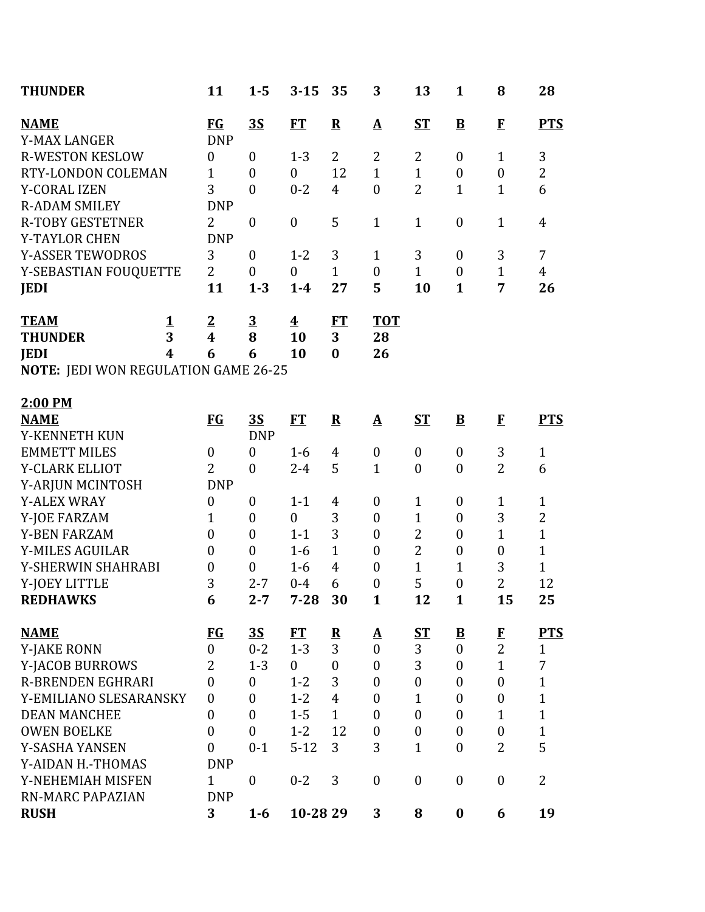| <b>THUNDER</b>                       |                  | 11                 | $1 - 5$          | $3 - 15$                | 35                      | 3                 | 13               | $\mathbf{1}$             | 8                | 28             |
|--------------------------------------|------------------|--------------------|------------------|-------------------------|-------------------------|-------------------|------------------|--------------------------|------------------|----------------|
| <b>NAME</b><br><b>Y-MAX LANGER</b>   |                  | $FG$<br><b>DNP</b> | 3S               | ET                      | ${\bf R}$               | $\mathbf{\Delta}$ | $S_{\rm T}$      | $\overline{\mathbf{B}}$  | $\bf{F}$         | <b>PTS</b>     |
| <b>R-WESTON KESLOW</b>               |                  | $\boldsymbol{0}$   | $\mathbf{0}$     | $1 - 3$                 | 2                       | $\overline{2}$    | $\overline{2}$   | $\boldsymbol{0}$         | $\mathbf{1}$     | 3              |
| RTY-LONDON COLEMAN                   |                  | $\mathbf{1}$       | $\overline{0}$   | $\mathbf{0}$            | 12                      | $\mathbf{1}$      | $\mathbf{1}$     | $\boldsymbol{0}$         | $\boldsymbol{0}$ | $\overline{2}$ |
| <b>Y-CORAL IZEN</b>                  |                  | 3                  | $\overline{0}$   | $0 - 2$                 | $\overline{4}$          | $\boldsymbol{0}$  | $\overline{2}$   | $\mathbf{1}$             | $\mathbf{1}$     | 6              |
| <b>R-ADAM SMILEY</b>                 |                  | <b>DNP</b>         |                  |                         |                         |                   |                  |                          |                  |                |
| <b>R-TOBY GESTETNER</b>              |                  | $\overline{2}$     | $\boldsymbol{0}$ | $\boldsymbol{0}$        | 5                       | $\mathbf{1}$      | $\mathbf{1}$     | $\boldsymbol{0}$         | $\mathbf{1}$     | 4              |
| <b>Y-TAYLOR CHEN</b>                 |                  | <b>DNP</b>         |                  |                         |                         |                   |                  |                          |                  |                |
| <b>Y-ASSER TEWODROS</b>              |                  | 3                  | $\mathbf{0}$     | $1 - 2$                 | 3                       | $\mathbf{1}$      | 3                | $\boldsymbol{0}$         | 3                | 7              |
| Y-SEBASTIAN FOUQUETTE                |                  | $\overline{2}$     | $\boldsymbol{0}$ | $\boldsymbol{0}$        | $\mathbf{1}$            | $\boldsymbol{0}$  | $\mathbf{1}$     | $\boldsymbol{0}$         | $\mathbf{1}$     | $\overline{4}$ |
| <b>JEDI</b>                          |                  | 11                 | $1 - 3$          | $1-4$                   | 27                      | 5                 | 10               | $\mathbf{1}$             | $\overline{7}$   | 26             |
| <b>TEAM</b>                          | <u>1</u>         | $\overline{2}$     | $\overline{3}$   | $\overline{\mathbf{4}}$ | <u>FT</u>               | <u>тот</u>        |                  |                          |                  |                |
| <b>THUNDER</b>                       | 3                | 4                  | 8                | 10                      | 3                       | 28                |                  |                          |                  |                |
| <b>JEDI</b>                          | $\boldsymbol{4}$ | 6                  | 6                | 10                      | $\bf{0}$                | 26                |                  |                          |                  |                |
| NOTE: JEDI WON REGULATION GAME 26-25 |                  |                    |                  |                         |                         |                   |                  |                          |                  |                |
| 2:00 PM                              |                  |                    |                  |                         |                         |                   |                  |                          |                  |                |
| <b>NAME</b>                          |                  | <b>FG</b>          | <u>35</u>        | ET                      | ${\bf R}$               | $\mathbf{\Delta}$ | $S_{\rm T}$      | $\mathbf{B}$             | $\mathbf{F}$     | <b>PTS</b>     |
| Y-KENNETH KUN                        |                  |                    | <b>DNP</b>       |                         |                         |                   |                  |                          |                  |                |
| <b>EMMETT MILES</b>                  |                  | $\boldsymbol{0}$   | $\boldsymbol{0}$ | $1-6$                   | 4                       | $\boldsymbol{0}$  | $\boldsymbol{0}$ | $\boldsymbol{0}$         | 3                | $\mathbf{1}$   |
| Y-CLARK ELLIOT                       |                  | $\overline{2}$     | $\mathbf{0}$     | $2 - 4$                 | 5                       | $\mathbf{1}$      | $\boldsymbol{0}$ | $\boldsymbol{0}$         | $\overline{2}$   | 6              |
| Y-ARJUN MCINTOSH                     |                  | <b>DNP</b>         |                  |                         |                         |                   |                  |                          |                  |                |
| <b>Y-ALEX WRAY</b>                   |                  | $\boldsymbol{0}$   | $\mathbf{0}$     | $1 - 1$                 | $\overline{4}$          | $\boldsymbol{0}$  | 1                | $\boldsymbol{0}$         | $\mathbf{1}$     | $\mathbf{1}$   |
| Y-JOE FARZAM                         |                  | 1                  | $\boldsymbol{0}$ | $\boldsymbol{0}$        | 3                       | $\boldsymbol{0}$  | $\overline{1}$   | $\boldsymbol{0}$         | 3                | $\overline{2}$ |
| <b>Y-BEN FARZAM</b>                  |                  | $\boldsymbol{0}$   | $\boldsymbol{0}$ | $1 - 1$                 | 3                       | $\boldsymbol{0}$  | $\overline{2}$   | $\boldsymbol{0}$         | $\mathbf{1}$     | $\mathbf{1}$   |
| <b>Y-MILES AGUILAR</b>               |                  | $\boldsymbol{0}$   | $\boldsymbol{0}$ | $1-6$                   | $\mathbf{1}$            | $\boldsymbol{0}$  | $\overline{2}$   | $\boldsymbol{0}$         | $\boldsymbol{0}$ | $\mathbf{1}$   |
| Y-SHERWIN SHAHRABI                   |                  | $\boldsymbol{0}$   | $\boldsymbol{0}$ | $1 - 6$                 | $\overline{4}$          | $\boldsymbol{0}$  | $\overline{1}$   | $\mathbf{1}$             | 3                | $\mathbf{1}$   |
| Y-JOEY LITTLE                        |                  | 3                  | $2 - 7$          | $0 - 4$                 | 6                       | $\boldsymbol{0}$  | 5                | $\boldsymbol{0}$         | $\overline{2}$   | 12             |
| <b>REDHAWKS</b>                      |                  | 6                  | $2 - 7$          | $7 - 28$                | 30                      | 1                 | 12               | 1                        | 15               | 25             |
| <b>NAME</b>                          |                  | <b>FG</b>          | <u>35</u>        | FT                      | $\overline{\mathbf{R}}$ | <u>A</u>          | <u>ST</u>        | $\underline{\mathbf{B}}$ | $\bf{F}$         | <b>PTS</b>     |
| <b>Y-JAKE RONN</b>                   |                  | $\boldsymbol{0}$   | $0 - 2$          | $1 - 3$                 | 3                       | $\boldsymbol{0}$  | 3                | $\boldsymbol{0}$         | $\overline{2}$   | $\mathbf{1}$   |
| Y-JACOB BURROWS                      |                  | $\overline{2}$     | $1 - 3$          | $\mathbf{0}$            | $\boldsymbol{0}$        | $\boldsymbol{0}$  | 3                | $\boldsymbol{0}$         | $\mathbf{1}$     | 7              |
| <b>R-BRENDEN EGHRARI</b>             |                  | $\boldsymbol{0}$   | $\mathbf{0}$     | $1 - 2$                 | 3                       | $\boldsymbol{0}$  | $\boldsymbol{0}$ | $\boldsymbol{0}$         | $\boldsymbol{0}$ | $\mathbf{1}$   |
| Y-EMILIANO SLESARANSKY               |                  | $\boldsymbol{0}$   | $\overline{0}$   | $1 - 2$                 | $\overline{4}$          | $\boldsymbol{0}$  | $\mathbf{1}$     | $\boldsymbol{0}$         | $\boldsymbol{0}$ | $\mathbf{1}$   |
| <b>DEAN MANCHEE</b>                  |                  | $\boldsymbol{0}$   | $\mathbf{0}$     | $1 - 5$                 | $\mathbf{1}$            | $\boldsymbol{0}$  | $\boldsymbol{0}$ | $\boldsymbol{0}$         | $\mathbf{1}$     | $\mathbf{1}$   |
| <b>OWEN BOELKE</b>                   |                  | $\overline{0}$     | $\mathbf{0}$     | $1 - 2$                 | 12                      | $\boldsymbol{0}$  | $\boldsymbol{0}$ | $\mathbf{0}$             | $\mathbf{0}$     | $\mathbf{1}$   |
| Y-SASHA YANSEN                       |                  | $\boldsymbol{0}$   | $0 - 1$          | $5 - 12$                | 3                       | 3                 | $\mathbf{1}$     | $\boldsymbol{0}$         | $\overline{2}$   | 5              |
| Y-AIDAN H.-THOMAS                    |                  | <b>DNP</b>         |                  |                         |                         |                   |                  |                          |                  |                |
| Y-NEHEMIAH MISFEN                    |                  | $\mathbf{1}$       | $\boldsymbol{0}$ | $0 - 2$                 | 3                       | $\boldsymbol{0}$  | $\boldsymbol{0}$ | $\boldsymbol{0}$         | $\boldsymbol{0}$ | $\overline{2}$ |
| <b>RN-MARC PAPAZIAN</b>              |                  | <b>DNP</b>         |                  |                         |                         |                   |                  |                          |                  |                |
| <b>RUSH</b>                          |                  | 3                  | $1 - 6$          | 10-28 29                |                         | 3                 | 8                | $\boldsymbol{0}$         | 6                | 19             |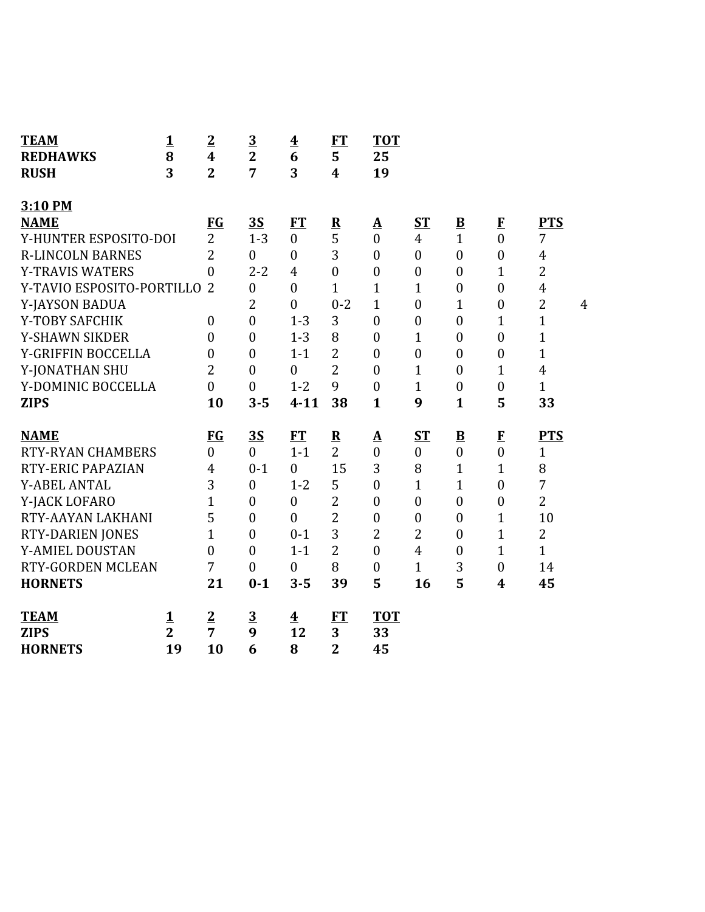| <b>TEAM</b>               | $\mathbf{1}$   | $\overline{2}$   | $\overline{3}$   | $\overline{\mathbf{4}}$ | ET                      | <b>TOT</b>       |                  |                          |                  |                |   |
|---------------------------|----------------|------------------|------------------|-------------------------|-------------------------|------------------|------------------|--------------------------|------------------|----------------|---|
| <b>REDHAWKS</b>           | 8              | 4                | $\overline{2}$   | 6                       | 5                       | 25               |                  |                          |                  |                |   |
| <b>RUSH</b>               | 3              | $\overline{2}$   | 7                | 3                       | $\overline{\mathbf{4}}$ | 19               |                  |                          |                  |                |   |
| 3:10 PM                   |                |                  |                  |                         |                         |                  |                  |                          |                  |                |   |
| <b>NAME</b>               |                | <b>FG</b>        | 3S               | FT                      | $\mathbf R$             | $\Delta$         | ST               | $\overline{\mathbf{B}}$  | $\mathbf{F}$     | <b>PTS</b>     |   |
| Y-HUNTER ESPOSITO-DOI     |                | $\overline{2}$   | $1 - 3$          | $\overline{0}$          | 5                       | $\mathbf{0}$     | $\overline{4}$   | $\mathbf{1}$             | $\theta$         | 7              |   |
| <b>R-LINCOLN BARNES</b>   |                | $\overline{2}$   | $\theta$         | $\boldsymbol{0}$        | 3                       | $\boldsymbol{0}$ | $\boldsymbol{0}$ | $\overline{0}$           | $\boldsymbol{0}$ | $\overline{4}$ |   |
| <b>Y-TRAVIS WATERS</b>    |                | $\overline{0}$   | $2 - 2$          | $\overline{4}$          | $\overline{0}$          | $\boldsymbol{0}$ | $\boldsymbol{0}$ | $\boldsymbol{0}$         | $\mathbf{1}$     | $\overline{2}$ |   |
| Y-TAVIO ESPOSITO-PORTILLO |                | $\overline{2}$   | $\mathbf{0}$     | $\overline{0}$          | $\overline{1}$          | $\mathbf{1}$     | $\mathbf{1}$     | $\overline{0}$           | $\boldsymbol{0}$ | $\overline{4}$ |   |
| Y-JAYSON BADUA            |                |                  | 2                | $\boldsymbol{0}$        | $0 - 2$                 | $\mathbf{1}$     | $\boldsymbol{0}$ | $\mathbf{1}$             | $\boldsymbol{0}$ | $\overline{2}$ | 4 |
| Y-TOBY SAFCHIK            |                | $\boldsymbol{0}$ | $\boldsymbol{0}$ | $1 - 3$                 | 3                       | $\mathbf{0}$     | $\boldsymbol{0}$ | $\overline{0}$           | $\mathbf{1}$     | $\mathbf{1}$   |   |
| <b>Y-SHAWN SIKDER</b>     |                | $\overline{0}$   | $\boldsymbol{0}$ | $1 - 3$                 | 8                       | $\mathbf{0}$     | $\mathbf{1}$     | $\overline{0}$           | $\mathbf{0}$     | $\mathbf{1}$   |   |
| Y-GRIFFIN BOCCELLA        |                | $\overline{0}$   | $\mathbf{0}$     | $1 - 1$                 | $\overline{2}$          | $\mathbf{0}$     | $\boldsymbol{0}$ | $\overline{0}$           | $\overline{0}$   | $\mathbf{1}$   |   |
| Y-JONATHAN SHU            |                | $\overline{2}$   | $\boldsymbol{0}$ | $\boldsymbol{0}$        | $\overline{2}$          | $\mathbf{0}$     | $\mathbf{1}$     | $\overline{0}$           | $\mathbf{1}$     | $\overline{4}$ |   |
| Y-DOMINIC BOCCELLA        |                | $\overline{0}$   | $\mathbf{0}$     | $1 - 2$                 | 9                       | $\boldsymbol{0}$ | $\mathbf{1}$     | $\boldsymbol{0}$         | $\boldsymbol{0}$ | $\mathbf{1}$   |   |
| <b>ZIPS</b>               |                | 10               | $3 - 5$          | $4 - 11$                | 38                      | $\mathbf{1}$     | 9                | $\mathbf{1}$             | 5                | 33             |   |
|                           |                |                  |                  |                         |                         |                  |                  |                          |                  |                |   |
| <b>NAME</b>               |                | <b>FG</b>        | 3S               | <b>FT</b>               | ${\bf R}$               | $\Delta$         | $S_{\rm T}$      | $\underline{\mathbf{B}}$ | $\mathbf{F}$     | <b>PTS</b>     |   |
| <b>RTY-RYAN CHAMBERS</b>  |                | $\overline{0}$   | $\overline{0}$   | $1 - 1$                 | $\overline{2}$          | $\overline{0}$   | $\boldsymbol{0}$ | $\boldsymbol{0}$         | $\overline{0}$   | $\mathbf{1}$   |   |
| RTY-ERIC PAPAZIAN         |                | 4                | $0 - 1$          | $\boldsymbol{0}$        | 15                      | 3                | 8                | $\mathbf{1}$             | $\mathbf{1}$     | 8              |   |
| <b>Y-ABEL ANTAL</b>       |                | 3                | $\mathbf{0}$     | $1 - 2$                 | 5                       | $\theta$         | $\overline{1}$   | $\mathbf{1}$             | $\boldsymbol{0}$ | 7              |   |
| Y-JACK LOFARO             |                | $\mathbf{1}$     | $\mathbf{0}$     | $\boldsymbol{0}$        | $\overline{2}$          | $\boldsymbol{0}$ | $\boldsymbol{0}$ | $\boldsymbol{0}$         | $\boldsymbol{0}$ | $\overline{2}$ |   |
| RTY-AAYAN LAKHANI         |                | 5                | $\mathbf{0}$     | $\overline{0}$          | $\overline{2}$          | $\mathbf{0}$     | $\boldsymbol{0}$ | $\overline{0}$           | 1                | 10             |   |
| <b>RTY-DARIEN JONES</b>   |                | $\mathbf{1}$     | $\mathbf{0}$     | $0 - 1$                 | 3                       | $\overline{2}$   | 2                | $\overline{0}$           | $\mathbf{1}$     | $\overline{2}$ |   |
| Y-AMIEL DOUSTAN           |                | $\theta$         | $\mathbf{0}$     | $1 - 1$                 | $\overline{2}$          | $\overline{0}$   | $\overline{4}$   | $\overline{0}$           | $\mathbf{1}$     | $\mathbf{1}$   |   |
| <b>RTY-GORDEN MCLEAN</b>  |                | 7                | $\mathbf{0}$     | $\boldsymbol{0}$        | 8                       | $\boldsymbol{0}$ | $\mathbf{1}$     | 3                        | $\boldsymbol{0}$ | 14             |   |
| <b>HORNETS</b>            |                | 21               | $0 - 1$          | $3 - 5$                 | 39                      | 5                | 16               | 5                        | 4                | 45             |   |
|                           |                |                  |                  |                         |                         |                  |                  |                          |                  |                |   |
| <b>TEAM</b>               | <u>1</u>       | $\overline{2}$   | $\overline{3}$   | $\overline{\mathbf{4}}$ | <b>FT</b>               | <b>TOT</b>       |                  |                          |                  |                |   |
| <b>ZIPS</b>               | $\overline{2}$ | 7                | 9                | 12                      | 3                       | 33               |                  |                          |                  |                |   |
| <b>HORNETS</b>            | 19             | 10               | 6                | 8                       | $\overline{2}$          | 45               |                  |                          |                  |                |   |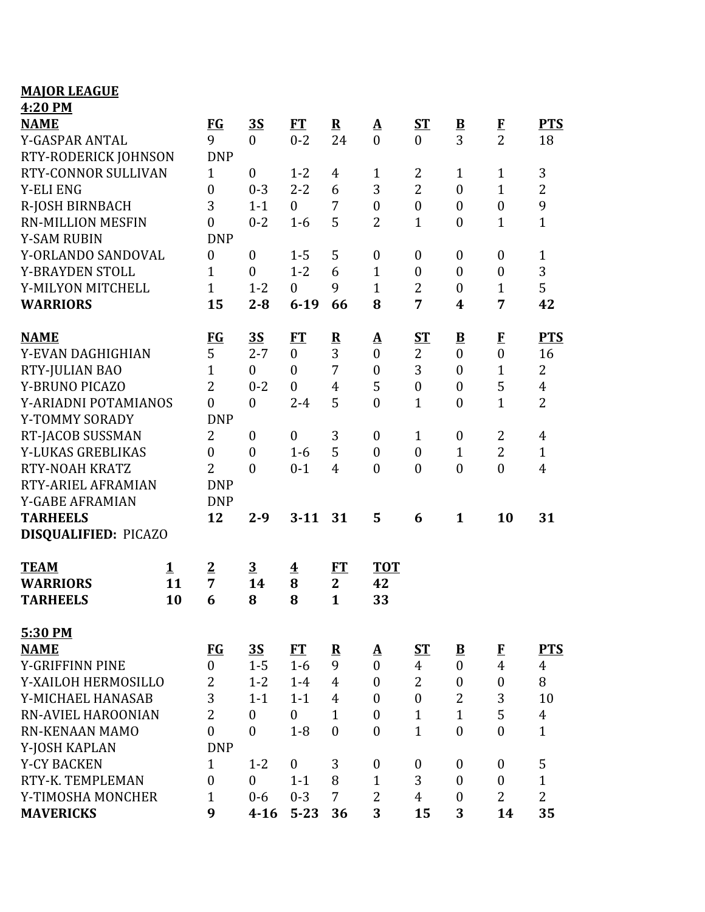### **MAJOR LEAGUE 4:20 PM**

| <u>.</u><br><b>NAME</b><br>Y-GASPAR ANTAL |              | <b>FG</b><br>9   | <u>35</u><br>$\theta$ | FT<br>$0 - 2$           | ${\bf R}$<br>24 | $\mathbf{\underline{A}}$<br>$\overline{0}$ | $S_{\rm T}$<br>$\overline{0}$ | ${\bf B}$<br>3          | $\bf{F}$<br>$\overline{2}$ | <b>PTS</b><br>18 |
|-------------------------------------------|--------------|------------------|-----------------------|-------------------------|-----------------|--------------------------------------------|-------------------------------|-------------------------|----------------------------|------------------|
| RTY-RODERICK JOHNSON                      |              | <b>DNP</b>       |                       |                         |                 |                                            |                               |                         |                            |                  |
| RTY-CONNOR SULLIVAN                       |              | $\mathbf{1}$     | $\mathbf{0}$          | $1 - 2$                 | 4               | $\mathbf{1}$                               | 2                             | $\mathbf{1}$            | $\mathbf{1}$               | 3                |
| <b>Y-ELI ENG</b>                          |              | $\boldsymbol{0}$ | $0 - 3$               | $2 - 2$                 | 6               | 3                                          | $\overline{2}$                | $\boldsymbol{0}$        | $\mathbf{1}$               | $\overline{2}$   |
| R-JOSH BIRNBACH                           |              | 3                | $1 - 1$               | $\mathbf{0}$            | 7               | $\boldsymbol{0}$                           | $\boldsymbol{0}$              | $\boldsymbol{0}$        | $\boldsymbol{0}$           | 9                |
| <b>RN-MILLION MESFIN</b>                  |              | $\boldsymbol{0}$ | $0 - 2$               | $1-6$                   | 5               | $\overline{2}$                             | $\mathbf{1}$                  | $\boldsymbol{0}$        | $\mathbf{1}$               | $\mathbf{1}$     |
| <b>Y-SAM RUBIN</b>                        |              | <b>DNP</b>       |                       |                         |                 |                                            |                               |                         |                            |                  |
| Y-ORLANDO SANDOVAL                        |              | $\boldsymbol{0}$ | $\boldsymbol{0}$      | $1 - 5$                 | 5               | $\boldsymbol{0}$                           | $\boldsymbol{0}$              | $\boldsymbol{0}$        | $\boldsymbol{0}$           | $\mathbf{1}$     |
| Y-BRAYDEN STOLL                           |              | $\mathbf{1}$     | $\mathbf{0}$          | $1 - 2$                 | 6               | $\mathbf{1}$                               | $\boldsymbol{0}$              | $\theta$                | $\boldsymbol{0}$           | 3                |
| Y-MILYON MITCHELL                         |              | $\mathbf{1}$     | $1 - 2$               | $\mathbf{0}$            | 9               | $\mathbf{1}$                               | 2                             | $\boldsymbol{0}$        | $\mathbf{1}$               | 5                |
| <b>WARRIORS</b>                           |              | 15               | $2 - 8$               | $6 - 19$                | 66              | 8                                          | 7                             | 4                       | 7                          | 42               |
| <b>NAME</b>                               |              | $FG$             | 3S                    | FT                      | ${\bf R}$       | <u>A</u>                                   | $S_{\rm T}$                   | $\overline{\mathbf{B}}$ | $\bf{F}$                   | <b>PTS</b>       |
| Y-EVAN DAGHIGHIAN                         |              | 5                | $2 - 7$               | $\mathbf{0}$            | 3               | $\boldsymbol{0}$                           | $\overline{2}$                | $\boldsymbol{0}$        | $\boldsymbol{0}$           | 16               |
| RTY-JULIAN BAO                            |              | $\mathbf{1}$     | $\boldsymbol{0}$      | $\overline{0}$          | 7               | $\boldsymbol{0}$                           | 3                             | $\boldsymbol{0}$        | $\mathbf{1}$               | $\overline{2}$   |
| Y-BRUNO PICAZO                            |              | $\overline{2}$   | $0 - 2$               | $\boldsymbol{0}$        | $\overline{4}$  | 5                                          | $\boldsymbol{0}$              | $\boldsymbol{0}$        | 5                          | $\overline{4}$   |
| Y-ARIADNI POTAMIANOS                      |              | $\overline{0}$   | $\mathbf{0}$          | $2 - 4$                 | 5               | $\overline{0}$                             | $\mathbf{1}$                  | $\overline{0}$          | $\overline{1}$             | $\overline{2}$   |
| Y-TOMMY SORADY                            |              | <b>DNP</b>       |                       |                         |                 |                                            |                               |                         |                            |                  |
| RT-JACOB SUSSMAN                          |              | $\overline{2}$   | $\boldsymbol{0}$      | $\mathbf{0}$            | 3               | $\boldsymbol{0}$                           | $\mathbf{1}$                  | $\boldsymbol{0}$        | $\overline{2}$             | 4                |
| Y-LUKAS GREBLIKAS                         |              | $\boldsymbol{0}$ | $\mathbf{0}$          | $1-6$                   | 5               | $\boldsymbol{0}$                           | $\boldsymbol{0}$              | $\mathbf{1}$            | $\overline{2}$             | $\mathbf{1}$     |
| RTY-NOAH KRATZ                            |              | $\overline{2}$   | $\mathbf{0}$          | $0 - 1$                 | $\overline{4}$  | $\overline{0}$                             | $\boldsymbol{0}$              | $\boldsymbol{0}$        | $\overline{0}$             | $\overline{4}$   |
| RTY-ARIEL AFRAMIAN                        |              | <b>DNP</b>       |                       |                         |                 |                                            |                               |                         |                            |                  |
| Y-GABE AFRAMIAN                           |              | <b>DNP</b>       |                       |                         |                 |                                            |                               |                         |                            |                  |
| <b>TARHEELS</b>                           |              | 12               | $2 - 9$               | $3 - 11$                | 31              | 5                                          | 6                             | $\mathbf{1}$            | 10                         | 31               |
| DISQUALIFIED: PICAZO                      |              |                  |                       |                         |                 |                                            |                               |                         |                            |                  |
| <b>TEAM</b>                               | $\mathbf{1}$ | $\overline{2}$   | $\overline{3}$        | $\overline{\textbf{4}}$ | FT              | <b>TOT</b>                                 |                               |                         |                            |                  |
| <b>WARRIORS</b>                           | 11           | $\overline{7}$   | 14                    | 8                       | $\overline{2}$  | 42                                         |                               |                         |                            |                  |
| <b>TARHEELS</b>                           | 10           | 6                | 8                     | 8                       | $\mathbf{1}$    | 33                                         |                               |                         |                            |                  |
| 5:30 PM                                   |              |                  |                       |                         |                 |                                            |                               |                         |                            |                  |
| <b>NAME</b>                               |              | FG               | $\overline{35}$       | FT                      | ${\bf R}$       | $\mathbf{\underline{A}}$                   | <b>ST</b>                     | ${\bf B}$               | E                          | <b>PTS</b>       |
| Y-GRIFFINN PINE                           |              | $\overline{0}$   | $1 - 5$               | $1-6$                   | 9               | $\theta$                                   | $\overline{4}$                | $\mathbf{0}$            | $\overline{4}$             | $\overline{4}$   |
| Y-XAILOH HERMOSILLO                       |              | 2                | $1 - 2$               | $1 - 4$                 | $\overline{4}$  | $\boldsymbol{0}$                           | $\overline{2}$                | $\boldsymbol{0}$        | $\boldsymbol{0}$           | 8                |
| Y-MICHAEL HANASAB                         |              | 3                | $1 - 1$               | $1 - 1$                 | $\overline{4}$  | $\boldsymbol{0}$                           | $\boldsymbol{0}$              | 2                       | 3                          | 10               |
| RN-AVIEL HAROONIAN                        |              | $\overline{2}$   | $\mathbf{0}$          | $\boldsymbol{0}$        | $\mathbf{1}$    | $\boldsymbol{0}$                           | $\mathbf{1}$                  | $\mathbf{1}$            | 5                          | $\overline{4}$   |
| <b>RN-KENAAN MAMO</b>                     |              | $\overline{0}$   | $\theta$              | $1 - 8$                 | $\mathbf{0}$    | $\overline{0}$                             | $\mathbf{1}$                  | $\overline{0}$          | $\overline{0}$             | $\mathbf{1}$     |
| Y-JOSH KAPLAN                             |              | <b>DNP</b>       |                       |                         |                 |                                            |                               |                         |                            |                  |
| <b>Y-CY BACKEN</b>                        |              | $\mathbf{1}$     | $1 - 2$               | $\mathbf{0}$            | 3               | $\boldsymbol{0}$                           | $\boldsymbol{0}$              | $\boldsymbol{0}$        | $\mathbf{0}$               | 5                |
| RTY-K. TEMPLEMAN                          |              | $\boldsymbol{0}$ | $\mathbf{0}$          | $1 - 1$                 | 8               | $\mathbf{1}$                               | 3                             | $\boldsymbol{0}$        | $\boldsymbol{0}$           | $\mathbf{1}$     |
| Y-TIMOSHA MONCHER                         |              | $\mathbf{1}$     | $0 - 6$               | $0 - 3$                 | 7               | $\overline{2}$                             | $\overline{4}$                | $\theta$                | $\overline{2}$             | $\overline{2}$   |
| <b>MAVERICKS</b>                          |              | 9                | $4 - 16$              | $5 - 23$                | 36              | 3                                          | 15                            | 3                       | 14                         | 35               |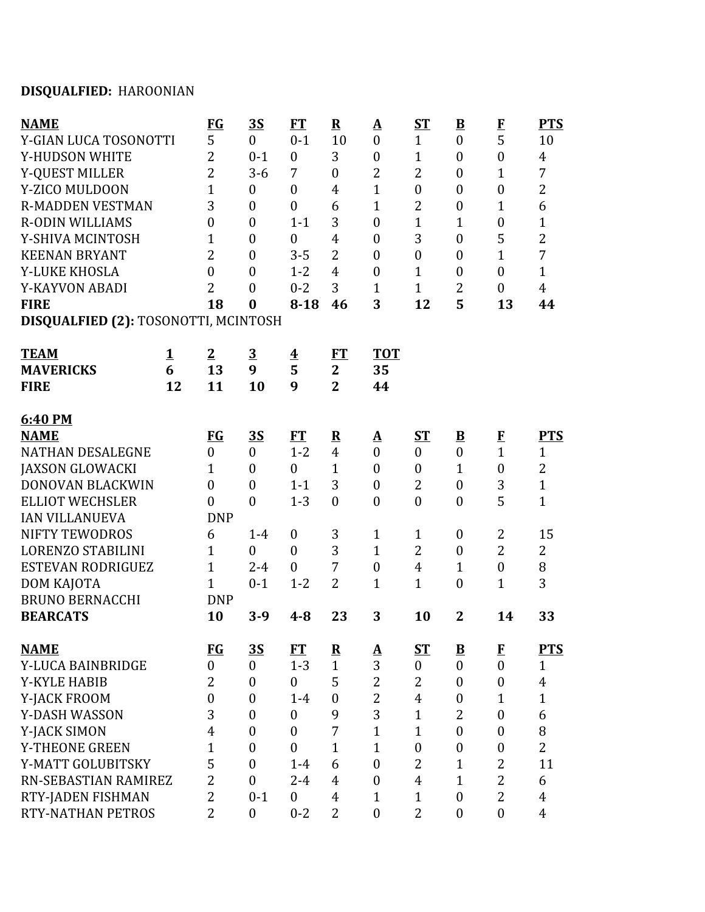# **DISQUALFIED:** HAROONIAN

| <b>NAME</b>                          |          | $FG$             | <u>35</u>        | FT                      | ${\bf R}$        | ${\underline{\bf A}}$ | <b>ST</b>        | $\overline{\mathbf{B}}$  | $\mathbf{F}$     | <b>PTS</b>     |
|--------------------------------------|----------|------------------|------------------|-------------------------|------------------|-----------------------|------------------|--------------------------|------------------|----------------|
| Y-GIAN LUCA TOSONOTTI                |          | 5                | $\overline{0}$   | $0 - 1$                 | 10               | $\overline{0}$        | $\mathbf{1}$     | $\boldsymbol{0}$         | 5                | 10             |
| Y-HUDSON WHITE                       |          | $\overline{2}$   | $0 - 1$          | $\boldsymbol{0}$        | 3                | $\boldsymbol{0}$      | $\mathbf{1}$     | $\boldsymbol{0}$         | $\mathbf{0}$     | $\overline{4}$ |
| Y-QUEST MILLER                       |          | $\overline{2}$   | $3 - 6$          | 7                       | $\mathbf{0}$     | $\overline{2}$        | $\overline{2}$   | $\boldsymbol{0}$         | $\mathbf{1}$     | $\overline{7}$ |
| Y-ZICO MULDOON                       |          | $\overline{1}$   | $\boldsymbol{0}$ | $\boldsymbol{0}$        | $\overline{4}$   | $\mathbf{1}$          | $\boldsymbol{0}$ | $\boldsymbol{0}$         | $\boldsymbol{0}$ | $\overline{2}$ |
| <b>R-MADDEN VESTMAN</b>              |          | 3                | $\overline{0}$   | $\overline{0}$          | 6                | $\mathbf{1}$          | 2                | $\boldsymbol{0}$         | $\mathbf{1}$     | 6              |
| <b>R-ODIN WILLIAMS</b>               |          | $\boldsymbol{0}$ | $\overline{0}$   | $1 - 1$                 | 3                | $\boldsymbol{0}$      | 1                | $\mathbf{1}$             | $\boldsymbol{0}$ | $\mathbf{1}$   |
| Y-SHIVA MCINTOSH                     |          | $\overline{1}$   | $\overline{0}$   | $\boldsymbol{0}$        | $\overline{4}$   | $\boldsymbol{0}$      | 3                | $\boldsymbol{0}$         | 5                | $\overline{2}$ |
| <b>KEENAN BRYANT</b>                 |          | $\overline{2}$   | $\overline{0}$   | $3 - 5$                 | $\overline{2}$   | $\boldsymbol{0}$      | $\boldsymbol{0}$ | $\boldsymbol{0}$         | $\mathbf{1}$     | 7              |
| Y-LUKE KHOSLA                        |          | $\overline{0}$   | $\overline{0}$   | $1 - 2$                 | $\overline{4}$   | $\overline{0}$        | $\mathbf{1}$     | $\boldsymbol{0}$         | $\mathbf{0}$     | $\mathbf{1}$   |
| Y-KAYVON ABADI                       |          | $\overline{2}$   | $\overline{0}$   | $0 - 2$                 | 3                | 1                     | $\mathbf{1}$     | $\overline{2}$           | $\mathbf{0}$     | $\overline{4}$ |
| <b>FIRE</b>                          |          | 18               | $\bf{0}$         | $8 - 18$                | 46               | 3                     | 12               | 5                        | 13               | 44             |
| DISQUALFIED (2): TOSONOTTI, MCINTOSH |          |                  |                  |                         |                  |                       |                  |                          |                  |                |
| <b>TEAM</b>                          | <u>1</u> | $\overline{2}$   | $\overline{3}$   | $\overline{\textbf{4}}$ | <u>ET</u>        | <b>TOT</b>            |                  |                          |                  |                |
| <b>MAVERICKS</b>                     | 6        | 13               | 9                | 5                       | $\overline{2}$   | 35                    |                  |                          |                  |                |
| <b>FIRE</b>                          | 12       | 11               | 10               | 9                       | $\overline{2}$   | 44                    |                  |                          |                  |                |
| 6:40 PM                              |          |                  |                  |                         |                  |                       |                  |                          |                  |                |
| <b>NAME</b>                          |          | <b>FG</b>        | <u>35</u>        | FT                      | ${\bf R}$        | <u>A</u>              | $ST$             | $\overline{\mathbf{B}}$  | $\bf{F}$         | <b>PTS</b>     |
| <b>NATHAN DESALEGNE</b>              |          | $\boldsymbol{0}$ | $\mathbf{0}$     | $1 - 2$                 | $\overline{4}$   | $\boldsymbol{0}$      | $\boldsymbol{0}$ | $\boldsymbol{0}$         | $\overline{1}$   | $\mathbf{1}$   |
| <b>JAXSON GLOWACKI</b>               |          | $\overline{1}$   | $\overline{0}$   | $\boldsymbol{0}$        | $\mathbf{1}$     | $\overline{0}$        | $\mathbf{0}$     | $\mathbf{1}$             | $\overline{0}$   | $\overline{2}$ |
| DONOVAN BLACKWIN                     |          | $\boldsymbol{0}$ | $\overline{0}$   | $1 - 1$                 | 3                | $\boldsymbol{0}$      | 2                | $\boldsymbol{0}$         | 3                | $\mathbf{1}$   |
| <b>ELLIOT WECHSLER</b>               |          | $\boldsymbol{0}$ | $\boldsymbol{0}$ | $1 - 3$                 | $\boldsymbol{0}$ | $\boldsymbol{0}$      | $\boldsymbol{0}$ | $\boldsymbol{0}$         | 5                | $\mathbf{1}$   |
| <b>IAN VILLANUEVA</b>                |          | <b>DNP</b>       |                  |                         |                  |                       |                  |                          |                  |                |
| <b>NIFTY TEWODROS</b>                |          | 6                | $1-4$            | $\boldsymbol{0}$        | 3                | $\mathbf{1}$          | $\mathbf{1}$     | $\boldsymbol{0}$         | $\overline{2}$   | 15             |
| <b>LORENZO STABILINI</b>             |          | $\mathbf{1}$     | $\mathbf{0}$     | $\overline{0}$          | 3                | $\mathbf{1}$          | 2                | $\boldsymbol{0}$         | $\overline{2}$   | $\overline{2}$ |
| <b>ESTEVAN RODRIGUEZ</b>             |          | $\mathbf{1}$     | $2 - 4$          | $\overline{0}$          | 7                | $\boldsymbol{0}$      | $\overline{4}$   | $\mathbf{1}$             | $\boldsymbol{0}$ | 8              |
| DOM KAJOTA                           |          | $\overline{1}$   | $0 - 1$          | $1 - 2$                 | $\overline{2}$   | $\mathbf{1}$          | $\mathbf{1}$     | $\boldsymbol{0}$         | $\mathbf{1}$     | 3              |
| <b>BRUNO BERNACCHI</b>               |          | <b>DNP</b>       |                  |                         |                  |                       |                  |                          |                  |                |
| <b>BEARCATS</b>                      |          | 10               | $3-9$            | $4 - 8$                 | 23               | 3                     | 10               | $\mathbf 2$              | 14               | 33             |
| <b>NAME</b>                          |          | <b>FG</b>        | <u>35</u>        | <b>FT</b>               | $\mathbf R$      | <u>A</u>              | $S_{\rm T}$      | $\underline{\mathbf{B}}$ | $\mathbf{F}$     | <b>PTS</b>     |
| Y-LUCA BAINBRIDGE                    |          | $\overline{0}$   | $\mathbf{0}$     | $1 - 3$                 | $\mathbf{1}$     | 3                     | $\overline{0}$   | $\boldsymbol{0}$         | $\mathbf{0}$     | $\mathbf{1}$   |
| <b>Y-KYLE HABIB</b>                  |          | 2                | $\boldsymbol{0}$ | $\overline{0}$          | 5                | $\overline{2}$        | $\overline{2}$   | $\boldsymbol{0}$         | $\boldsymbol{0}$ | $\overline{4}$ |
| Y-JACK FROOM                         |          | $\boldsymbol{0}$ | $\mathbf{0}$     | $1 - 4$                 | $\mathbf{0}$     | $\overline{2}$        | $\overline{4}$   | $\boldsymbol{0}$         | $\mathbf{1}$     | $\mathbf{1}$   |
| Y-DASH WASSON                        |          | 3                | $\boldsymbol{0}$ | $\boldsymbol{0}$        | 9                | 3                     | $\mathbf{1}$     | $\overline{2}$           | $\boldsymbol{0}$ | 6              |
| Y-JACK SIMON                         |          | $\overline{4}$   | $\mathbf{0}$     | $\overline{0}$          | 7                | $\mathbf{1}$          | $\mathbf{1}$     | $\boldsymbol{0}$         | $\mathbf{0}$     | 8              |
| <b>Y-THEONE GREEN</b>                |          | $\mathbf 1$      | $\mathbf{0}$     | $\overline{0}$          | $\mathbf{1}$     | $\mathbf{1}$          | $\boldsymbol{0}$ | $\boldsymbol{0}$         | $\boldsymbol{0}$ | $\overline{2}$ |
| Y-MATT GOLUBITSKY                    |          | 5                | $\mathbf{0}$     | $1-4$                   | 6                | $\boldsymbol{0}$      | $\overline{2}$   | $\mathbf{1}$             | $\overline{2}$   | 11             |
| RN-SEBASTIAN RAMIREZ                 |          | $\overline{2}$   | $\mathbf{0}$     | $2 - 4$                 | $\overline{4}$   | $\overline{0}$        | $\overline{4}$   | $\mathbf{1}$             | $\overline{2}$   | 6              |
| RTY-JADEN FISHMAN                    |          | $\overline{2}$   | $0 - 1$          | $\boldsymbol{0}$        | $\overline{4}$   | 1                     | 1                | $\boldsymbol{0}$         | $\overline{2}$   | $\overline{4}$ |
| RTY-NATHAN PETROS                    |          | $\overline{2}$   | $\boldsymbol{0}$ | $0 - 2$                 | $\overline{2}$   | $\boldsymbol{0}$      | $\overline{2}$   | $\boldsymbol{0}$         | $\boldsymbol{0}$ | $\overline{4}$ |